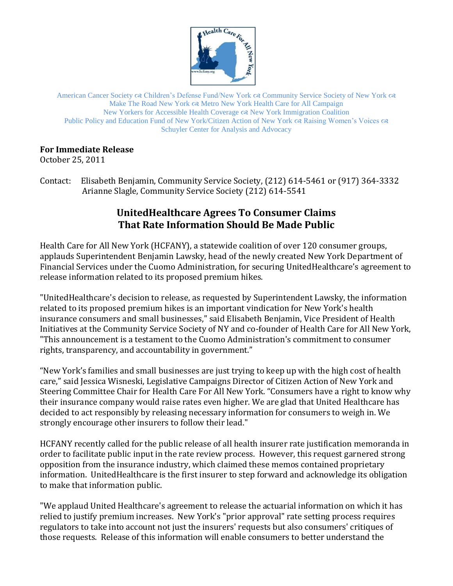

American Cancer Society  $\infty$  Children's Defense Fund/New York  $\infty$  Community Service Society of New York  $\infty$ Make The Road New York Metro New York Health Care for All Campaign New Yorkers for Accessible Health Coverage New York Immigration Coalition Public Policy and Education Fund of New York/Citizen Action of New York  $\alpha$  Raising Women's Voices  $\alpha$ Schuyler Center for Analysis and Advocacy

## **For Immediate Release**

October 25, 2011

Contact: Elisabeth Benjamin, Community Service Society, (212) 614-5461 or (917) 364-3332 Arianne Slagle, Community Service Society (212) 614-5541

## **UnitedHealthcare Agrees To Consumer Claims That Rate Information Should Be Made Public**

Health Care for All New York (HCFANY), a statewide coalition of over 120 consumer groups, applauds Superintendent Benjamin Lawsky, head of the newly created New York Department of Financial Services under the Cuomo Administration, for securing UnitedHealthcare's agreement to release information related to its proposed premium hikes.

"UnitedHealthcare's decision to release, as requested by Superintendent Lawsky, the information related to its proposed premium hikes is an important vindication for New York's health insurance consumers and small businesses," said Elisabeth Benjamin, Vice President of Health Initiatives at the Community Service Society of NY and co-founder of Health Care for All New York, "This announcement is a testament to the Cuomo Administration's commitment to consumer rights, transparency, and accountability in government."

"New York's families and small businesses are just trying to keep up with the high cost of health care," said Jessica Wisneski, Legislative Campaigns Director of Citizen Action of New York and Steering Committee Chair for Health Care For All New York. "Consumers have a right to know why their insurance company would raise rates even higher. We are glad that United Healthcare has decided to act responsibly by releasing necessary information for consumers to weigh in. We strongly encourage other insurers to follow their lead."

HCFANY recently called for the public release of all health insurer rate justification memoranda in order to facilitate public input in the rate review process. However, this request garnered strong opposition from the insurance industry, which claimed these memos contained proprietary information. UnitedHealthcare is the first insurer to step forward and acknowledge its obligation to make that information public.

"We applaud United Healthcare's agreement to release the actuarial information on which it has relied to justify premium increases. New York's "prior approval" rate setting process requires regulators to take into account not just the insurers' requests but also consumers' critiques of those requests. Release of this information will enable consumers to better understand the